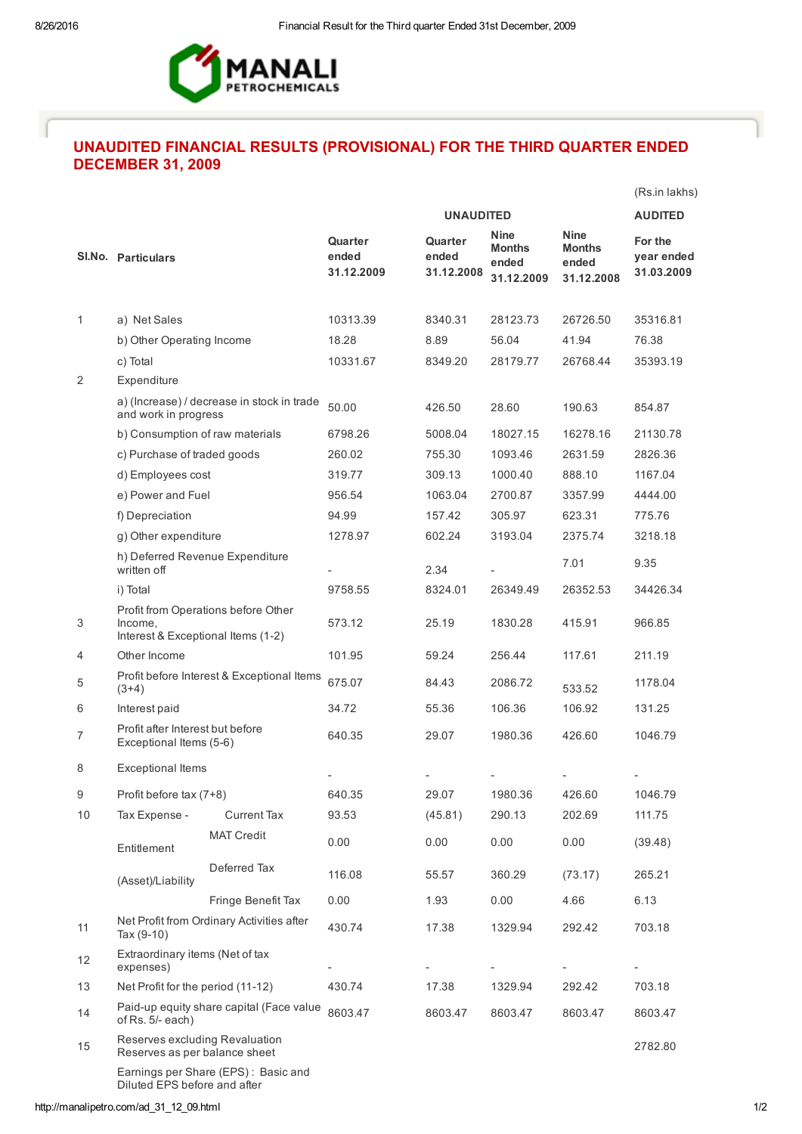

## UNAUDITED FINANCIAL RESULTS (PROVISIONAL) FOR THE THIRD QUARTER ENDED DECEMBER 31, 2009

|    |                                                                                      |                    |                                |                                |                                                     |                                                     | (Rs.in lakhs)                       |  |
|----|--------------------------------------------------------------------------------------|--------------------|--------------------------------|--------------------------------|-----------------------------------------------------|-----------------------------------------------------|-------------------------------------|--|
|    |                                                                                      |                    |                                | <b>UNAUDITED</b>               |                                                     |                                                     |                                     |  |
|    | SI.No. Particulars                                                                   |                    | Quarter<br>ended<br>31.12.2009 | Quarter<br>ended<br>31.12.2008 | <b>Nine</b><br><b>Months</b><br>ended<br>31.12.2009 | <b>Nine</b><br><b>Months</b><br>ended<br>31.12.2008 | For the<br>year ended<br>31.03.2009 |  |
|    |                                                                                      |                    |                                |                                |                                                     |                                                     |                                     |  |
| 1  | a) Net Sales<br>b) Other Operating Income                                            |                    | 10313.39                       | 8340.31                        | 28123.73                                            | 26726.50                                            | 35316.81                            |  |
|    |                                                                                      |                    | 18.28                          | 8.89                           | 56.04                                               | 41.94                                               | 76.38                               |  |
|    | c) Total                                                                             |                    | 10331.67                       | 8349.20                        | 28179.77                                            | 26768.44                                            | 35393.19                            |  |
| 2  | Expenditure                                                                          |                    |                                |                                |                                                     |                                                     |                                     |  |
|    | a) (Increase) / decrease in stock in trade<br>and work in progress                   |                    | 50.00                          | 426.50                         | 28.60                                               | 190.63                                              | 854.87                              |  |
|    | b) Consumption of raw materials                                                      |                    | 6798.26                        | 5008.04                        | 18027.15                                            | 16278.16                                            | 21130.78                            |  |
|    | c) Purchase of traded goods                                                          |                    | 260.02                         | 755.30                         | 1093.46                                             | 2631.59                                             | 2826.36                             |  |
|    | d) Employees cost                                                                    |                    | 319.77                         | 309.13                         | 1000.40                                             | 888.10                                              | 1167.04                             |  |
|    | e) Power and Fuel                                                                    |                    | 956.54                         | 1063.04                        | 2700.87                                             | 3357.99                                             | 4444.00                             |  |
|    | f) Depreciation                                                                      |                    | 94.99                          | 157.42                         | 305.97                                              | 623.31                                              | 775.76                              |  |
|    | g) Other expenditure                                                                 |                    | 1278.97                        | 602.24                         | 3193.04                                             | 2375.74                                             | 3218.18                             |  |
|    | h) Deferred Revenue Expenditure<br>written off                                       |                    |                                | 2.34                           |                                                     | 7.01                                                | 9.35                                |  |
|    | i) Total                                                                             |                    |                                | 8324.01                        | 26349.49                                            | 26352.53                                            | 34426.34                            |  |
| 3  | Profit from Operations before Other<br>Income,<br>Interest & Exceptional Items (1-2) |                    | 573.12                         | 25.19                          | 1830.28                                             | 415.91                                              | 966.85                              |  |
| 4  | Other Income                                                                         |                    | 101.95                         | 59.24                          | 256.44                                              | 117.61                                              | 211.19                              |  |
| 5  | Profit before Interest & Exceptional Items<br>$(3+4)$                                |                    | 675.07                         | 84.43                          | 2086.72                                             | 533.52                                              | 1178.04                             |  |
| 6  | Interest paid                                                                        |                    | 34.72                          | 55.36                          | 106.36                                              | 106.92                                              | 131.25                              |  |
| 7  | Profit after Interest but before<br>Exceptional Items (5-6)                          |                    | 640.35                         | 29.07                          | 1980.36                                             | 426.60                                              | 1046.79                             |  |
| 8  | <b>Exceptional Items</b>                                                             |                    |                                |                                |                                                     |                                                     |                                     |  |
| 9  | Profit before tax (7+8)                                                              |                    | 640.35                         | 29.07                          | 1980.36                                             | 426.60                                              | 1046.79                             |  |
| 10 | Tax Expense -                                                                        | <b>Current Tax</b> | 93.53                          | (45.81)                        | 290.13                                              | 202.69                                              | 111.75                              |  |
|    | Entitlement                                                                          | <b>MAT Credit</b>  | 0.00                           | 0.00                           | 0.00                                                | 0.00                                                | (39.48)                             |  |
|    | (Asset)/Liability                                                                    | Deferred Tax       | 116.08                         | 55.57                          | 360.29                                              | (73.17)                                             | 265.21                              |  |
|    |                                                                                      | Fringe Benefit Tax | 0.00                           | 1.93                           | 0.00                                                | 4.66                                                | 6.13                                |  |
| 11 | Net Profit from Ordinary Activities after<br>Tax $(9-10)$                            |                    | 430.74                         | 17.38                          | 1329.94                                             | 292.42                                              | 703.18                              |  |
| 12 | Extraordinary items (Net of tax<br>expenses)                                         |                    |                                |                                |                                                     |                                                     |                                     |  |
| 13 | Net Profit for the period (11-12)                                                    |                    | 430.74                         | 17.38                          | 1329.94                                             | 292.42                                              | 703.18                              |  |
| 14 | Paid-up equity share capital (Face value<br>of $Rs. 5/- each$                        |                    | 8603.47                        | 8603.47                        | 8603.47                                             | 8603.47                                             | 8603.47                             |  |
| 15 | Reserves excluding Revaluation<br>Reserves as per balance sheet                      |                    |                                |                                |                                                     |                                                     | 2782.80                             |  |
|    | Earnings per Share (EPS): Basic and<br>Diluted EPS before and after                  |                    |                                |                                |                                                     |                                                     |                                     |  |